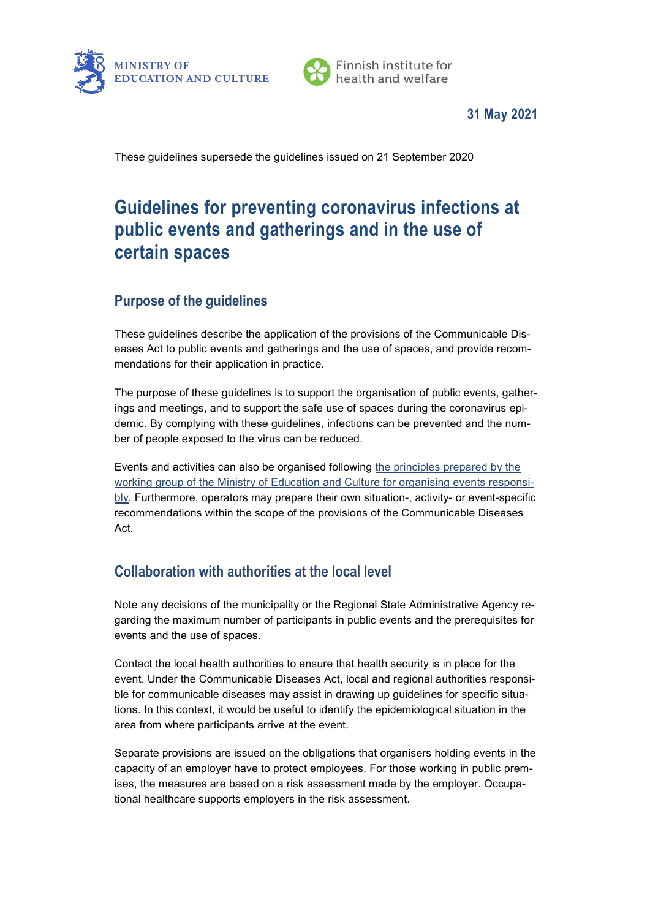



## **31 May 2021**

These guidelines supersede the guidelines issued on 21 September 2020

# **Guidelines for preventing coronavirus infections at public events and gatherings and in the use of certain spaces**

# **Purpose of the guidelines**

These guidelines describe the application of the provisions of the Communicable Diseases Act to public events and gatherings and the use of spaces, and provide recommendations for their application in practice.

The purpose of these guidelines is to support the organisation of public events, gatherings and meetings, and to support the safe use of spaces during the coronavirus epidemic. By complying with these guidelines, infections can be prevented and the number of people exposed to the virus can be reduced.

Events and activities can also be organised following [the principles prepared by the](https://api.hankeikkuna.fi/asiakirjat/357f8713-8741-49d5-8946-fc19dcfa0a45/13ba964d-b2aa-4fde-a6e4-32e76f1c6ffb/KIRJE_20210111113943.PDF)  [working group of the Ministry of Education and Culture for organising events responsi](https://api.hankeikkuna.fi/asiakirjat/357f8713-8741-49d5-8946-fc19dcfa0a45/13ba964d-b2aa-4fde-a6e4-32e76f1c6ffb/KIRJE_20210111113943.PDF)[bly.](https://api.hankeikkuna.fi/asiakirjat/357f8713-8741-49d5-8946-fc19dcfa0a45/13ba964d-b2aa-4fde-a6e4-32e76f1c6ffb/KIRJE_20210111113943.PDF) Furthermore, operators may prepare their own situation-, activity- or event-specific recommendations within the scope of the provisions of the Communicable Diseases Act.

# **Collaboration with authorities at the local level**

Note any decisions of the municipality or the Regional State Administrative Agency regarding the maximum number of participants in public events and the prerequisites for events and the use of spaces.

Contact the local health authorities to ensure that health security is in place for the event. Under the Communicable Diseases Act, local and regional authorities responsible for communicable diseases may assist in drawing up guidelines for specific situations. In this context, it would be useful to identify the epidemiological situation in the area from where participants arrive at the event.

Separate provisions are issued on the obligations that organisers holding events in the capacity of an employer have to protect employees. For those working in public premises, the measures are based on a risk assessment made by the employer. Occupational healthcare supports employers in the risk assessment.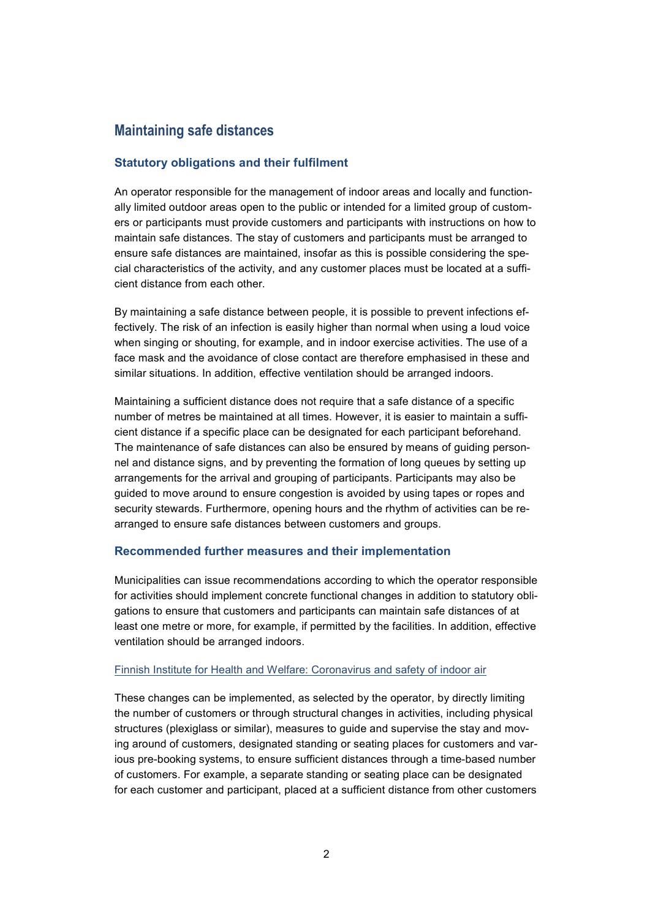## **Maintaining safe distances**

#### **Statutory obligations and their fulfilment**

An operator responsible for the management of indoor areas and locally and functionally limited outdoor areas open to the public or intended for a limited group of customers or participants must provide customers and participants with instructions on how to maintain safe distances. The stay of customers and participants must be arranged to ensure safe distances are maintained, insofar as this is possible considering the special characteristics of the activity, and any customer places must be located at a sufficient distance from each other.

By maintaining a safe distance between people, it is possible to prevent infections effectively. The risk of an infection is easily higher than normal when using a loud voice when singing or shouting, for example, and in indoor exercise activities. The use of a face mask and the avoidance of close contact are therefore emphasised in these and similar situations. In addition, effective ventilation should be arranged indoors.

Maintaining a sufficient distance does not require that a safe distance of a specific number of metres be maintained at all times. However, it is easier to maintain a sufficient distance if a specific place can be designated for each participant beforehand. The maintenance of safe distances can also be ensured by means of guiding personnel and distance signs, and by preventing the formation of long queues by setting up arrangements for the arrival and grouping of participants. Participants may also be guided to move around to ensure congestion is avoided by using tapes or ropes and security stewards. Furthermore, opening hours and the rhythm of activities can be rearranged to ensure safe distances between customers and groups.

#### **Recommended further measures and their implementation**

Municipalities can issue recommendations according to which the operator responsible for activities should implement concrete functional changes in addition to statutory obligations to ensure that customers and participants can maintain safe distances of at least one metre or more, for example, if permitted by the facilities. In addition, effective ventilation should be arranged indoors.

#### [Finnish Institute for Health and Welfare:](https://thl.fi/en/web/environmental-health/indoor-air/coronavirus-and-safety-of-indoor-air) [Coronavirus and safety of indoor air](https://thl.fi/en/web/environmental-health/indoor-air/coronavirus-and-safety-of-indoor-air)

These changes can be implemented, as selected by the operator, by directly limiting the number of customers or through structural changes in activities, including physical structures (plexiglass or similar), measures to guide and supervise the stay and moving around of customers, designated standing or seating places for customers and various pre-booking systems, to ensure sufficient distances through a time-based number of customers. For example, a separate standing or seating place can be designated for each customer and participant, placed at a sufficient distance from other customers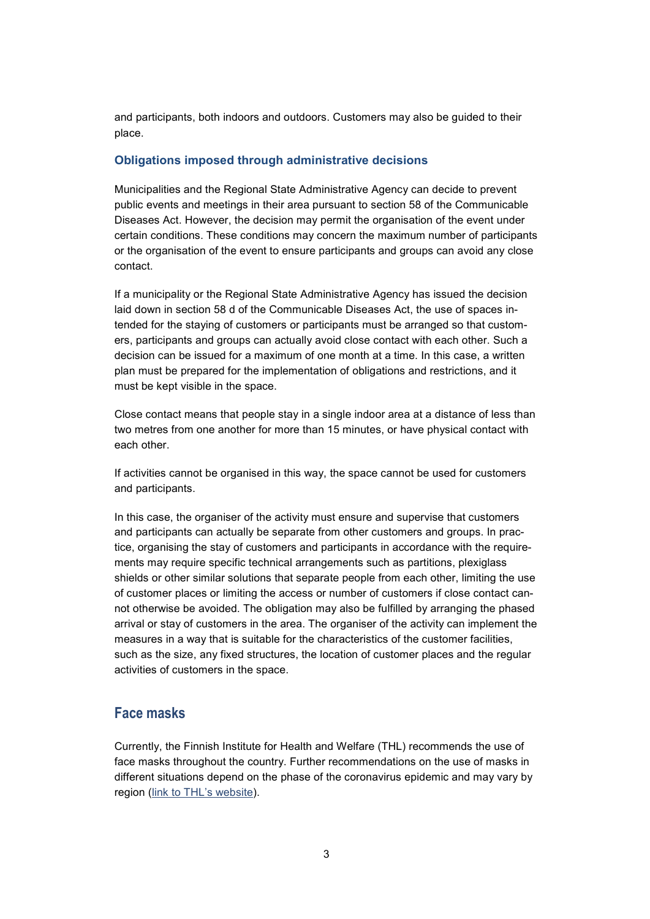and participants, both indoors and outdoors. Customers may also be guided to their place.

#### **Obligations imposed through administrative decisions**

Municipalities and the Regional State Administrative Agency can decide to prevent public events and meetings in their area pursuant to section 58 of the Communicable Diseases Act. However, the decision may permit the organisation of the event under certain conditions. These conditions may concern the maximum number of participants or the organisation of the event to ensure participants and groups can avoid any close contact.

If a municipality or the Regional State Administrative Agency has issued the decision laid down in section 58 d of the Communicable Diseases Act, the use of spaces intended for the staying of customers or participants must be arranged so that customers, participants and groups can actually avoid close contact with each other. Such a decision can be issued for a maximum of one month at a time. In this case, a written plan must be prepared for the implementation of obligations and restrictions, and it must be kept visible in the space.

Close contact means that people stay in a single indoor area at a distance of less than two metres from one another for more than 15 minutes, or have physical contact with each other.

If activities cannot be organised in this way, the space cannot be used for customers and participants.

In this case, the organiser of the activity must ensure and supervise that customers and participants can actually be separate from other customers and groups. In practice, organising the stay of customers and participants in accordance with the requirements may require specific technical arrangements such as partitions, plexiglass shields or other similar solutions that separate people from each other, limiting the use of customer places or limiting the access or number of customers if close contact cannot otherwise be avoided. The obligation may also be fulfilled by arranging the phased arrival or stay of customers in the area. The organiser of the activity can implement the measures in a way that is suitable for the characteristics of the customer facilities, such as the size, any fixed structures, the location of customer places and the regular activities of customers in the space.

### **Face masks**

Currently, the Finnish Institute for Health and Welfare (THL) recommends the use of face masks throughout the country. Further recommendations on the use of masks in different situations depend on the phase of the coronavirus epidemic and may vary by region [\(link to THL's website\)](https://thl.fi/en/).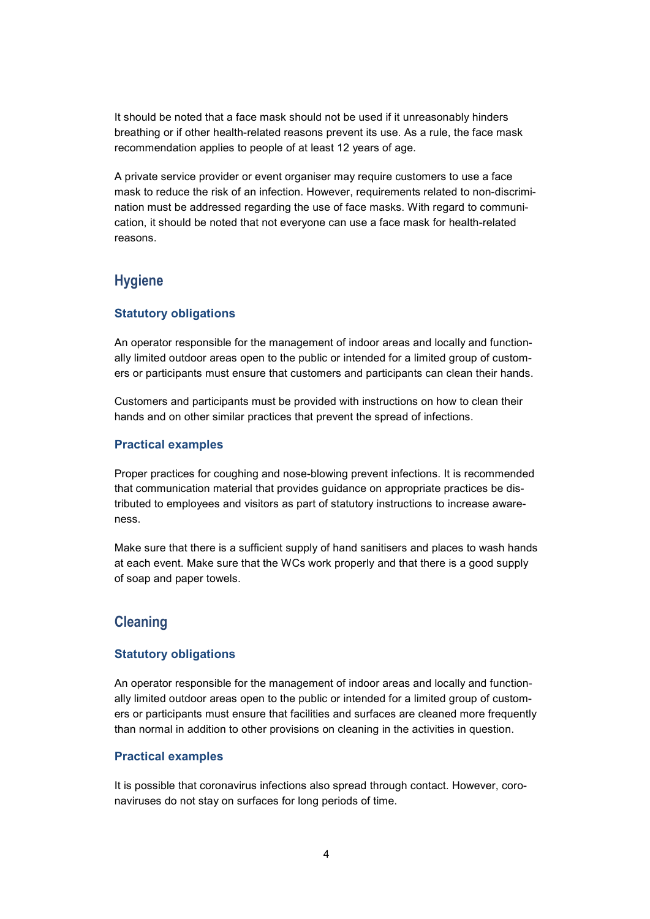It should be noted that a face mask should not be used if it unreasonably hinders breathing or if other health-related reasons prevent its use. As a rule, the face mask recommendation applies to people of at least 12 years of age.

A private service provider or event organiser may require customers to use a face mask to reduce the risk of an infection. However, requirements related to non-discrimination must be addressed regarding the use of face masks. With regard to communication, it should be noted that not everyone can use a face mask for health-related reasons.

# **Hygiene**

#### **Statutory obligations**

An operator responsible for the management of indoor areas and locally and functionally limited outdoor areas open to the public or intended for a limited group of customers or participants must ensure that customers and participants can clean their hands.

Customers and participants must be provided with instructions on how to clean their hands and on other similar practices that prevent the spread of infections.

#### **Practical examples**

Proper practices for coughing and nose-blowing prevent infections. It is recommended that communication material that provides guidance on appropriate practices be distributed to employees and visitors as part of statutory instructions to increase awareness.

Make sure that there is a sufficient supply of hand sanitisers and places to wash hands at each event. Make sure that the WCs work properly and that there is a good supply of soap and paper towels.

### **Cleaning**

#### **Statutory obligations**

An operator responsible for the management of indoor areas and locally and functionally limited outdoor areas open to the public or intended for a limited group of customers or participants must ensure that facilities and surfaces are cleaned more frequently than normal in addition to other provisions on cleaning in the activities in question.

#### **Practical examples**

It is possible that coronavirus infections also spread through contact. However, coronaviruses do not stay on surfaces for long periods of time.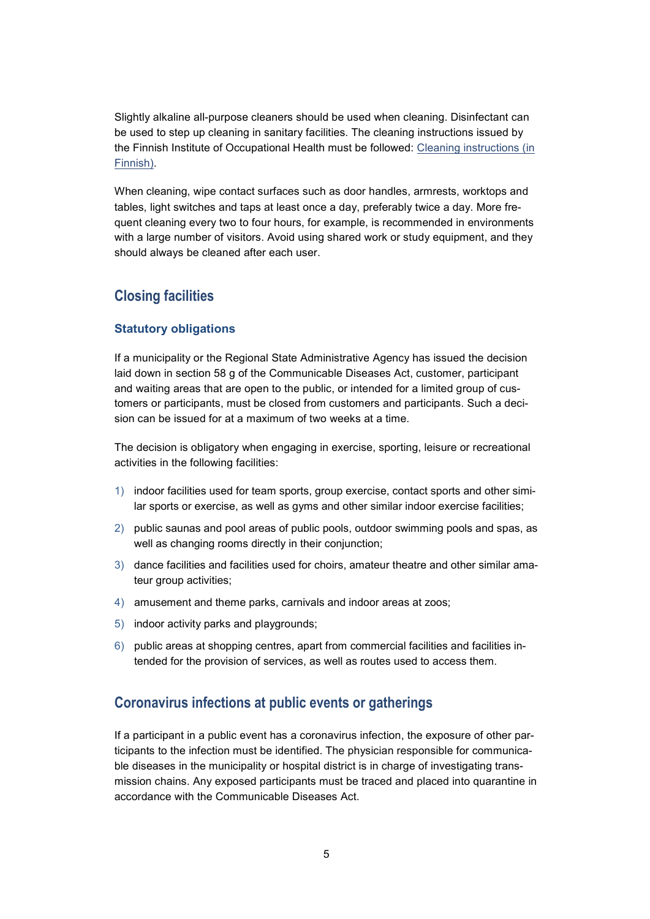Slightly alkaline all-purpose cleaners should be used when cleaning. Disinfectant can be used to step up cleaning in sanitary facilities. The cleaning instructions issued by the Finnish Institute of Occupational Health must be followed: [Cleaning instructions \(in](https://hyvatyo.ttl.fi/koronavirus/ohje-siivoukseen)  [Finnish\).](https://hyvatyo.ttl.fi/koronavirus/ohje-siivoukseen)

When cleaning, wipe contact surfaces such as door handles, armrests, worktops and tables, light switches and taps at least once a day, preferably twice a day. More frequent cleaning every two to four hours, for example, is recommended in environments with a large number of visitors. Avoid using shared work or study equipment, and they should always be cleaned after each user.

### **Closing facilities**

#### **Statutory obligations**

If a municipality or the Regional State Administrative Agency has issued the decision laid down in section 58 g of the Communicable Diseases Act, customer, participant and waiting areas that are open to the public, or intended for a limited group of customers or participants, must be closed from customers and participants. Such a decision can be issued for at a maximum of two weeks at a time.

The decision is obligatory when engaging in exercise, sporting, leisure or recreational activities in the following facilities:

- 1) indoor facilities used for team sports, group exercise, contact sports and other similar sports or exercise, as well as gyms and other similar indoor exercise facilities;
- 2) public saunas and pool areas of public pools, outdoor swimming pools and spas, as well as changing rooms directly in their conjunction;
- 3) dance facilities and facilities used for choirs, amateur theatre and other similar amateur group activities;
- 4) amusement and theme parks, carnivals and indoor areas at zoos;
- 5) indoor activity parks and playgrounds;
- 6) public areas at shopping centres, apart from commercial facilities and facilities intended for the provision of services, as well as routes used to access them.

### **Coronavirus infections at public events or gatherings**

If a participant in a public event has a coronavirus infection, the exposure of other participants to the infection must be identified. The physician responsible for communicable diseases in the municipality or hospital district is in charge of investigating transmission chains. Any exposed participants must be traced and placed into quarantine in accordance with the Communicable Diseases Act.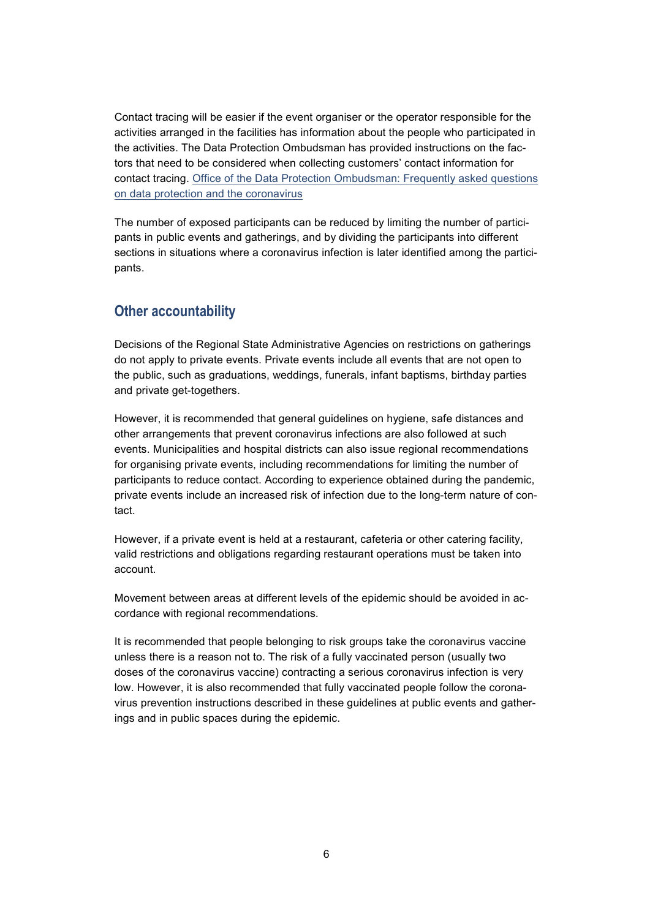Contact tracing will be easier if the event organiser or the operator responsible for the activities arranged in the facilities has information about the people who participated in the activities. The Data Protection Ombudsman has provided instructions on the factors that need to be considered when collecting customers' contact information for contact tracing. [Office of the Data Protection Ombudsman:](https://tietosuoja.fi/en/coronavirus-covid-19) [Frequently asked questions](https://tietosuoja.fi/en/coronavirus-covid-19)  [on data protection and the coronavirus](https://tietosuoja.fi/en/coronavirus-covid-19)

The number of exposed participants can be reduced by limiting the number of participants in public events and gatherings, and by dividing the participants into different sections in situations where a coronavirus infection is later identified among the participants.

# **Other accountability**

Decisions of the Regional State Administrative Agencies on restrictions on gatherings do not apply to private events. Private events include all events that are not open to the public, such as graduations, weddings, funerals, infant baptisms, birthday parties and private get-togethers.

However, it is recommended that general guidelines on hygiene, safe distances and other arrangements that prevent coronavirus infections are also followed at such events. Municipalities and hospital districts can also issue regional recommendations for organising private events, including recommendations for limiting the number of participants to reduce contact. According to experience obtained during the pandemic, private events include an increased risk of infection due to the long-term nature of contact.

However, if a private event is held at a restaurant, cafeteria or other catering facility, valid restrictions and obligations regarding restaurant operations must be taken into account.

Movement between areas at different levels of the epidemic should be avoided in accordance with regional recommendations.

It is recommended that people belonging to risk groups take the coronavirus vaccine unless there is a reason not to. The risk of a fully vaccinated person (usually two doses of the coronavirus vaccine) contracting a serious coronavirus infection is very low. However, it is also recommended that fully vaccinated people follow the coronavirus prevention instructions described in these guidelines at public events and gatherings and in public spaces during the epidemic.